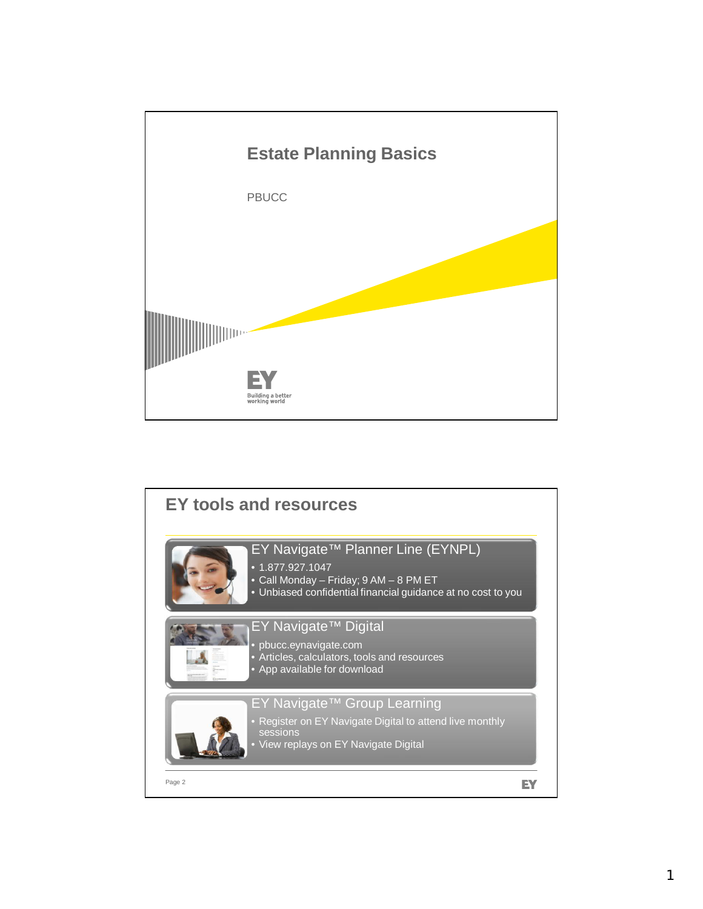

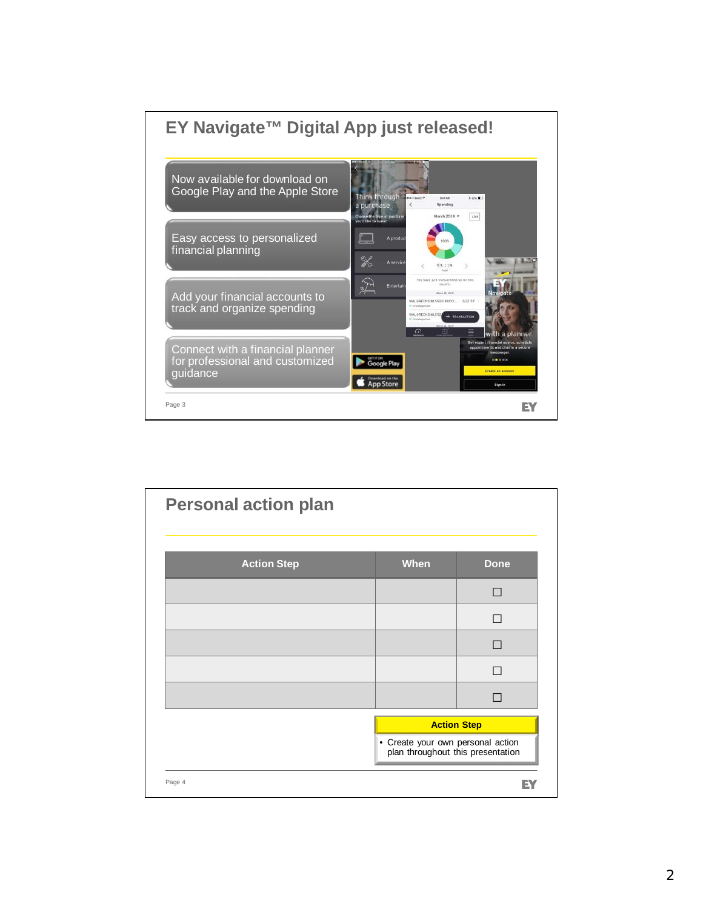

| <b>Personal action plan</b> |                                   |                                   |
|-----------------------------|-----------------------------------|-----------------------------------|
| <b>Action Step</b>          | When                              | <b>Done</b>                       |
|                             |                                   | H                                 |
|                             |                                   |                                   |
|                             |                                   |                                   |
|                             |                                   |                                   |
|                             |                                   |                                   |
|                             |                                   | <b>Action Step</b>                |
|                             | • Create your own personal action | plan throughout this presentation |
| Page 4                      |                                   | E۱                                |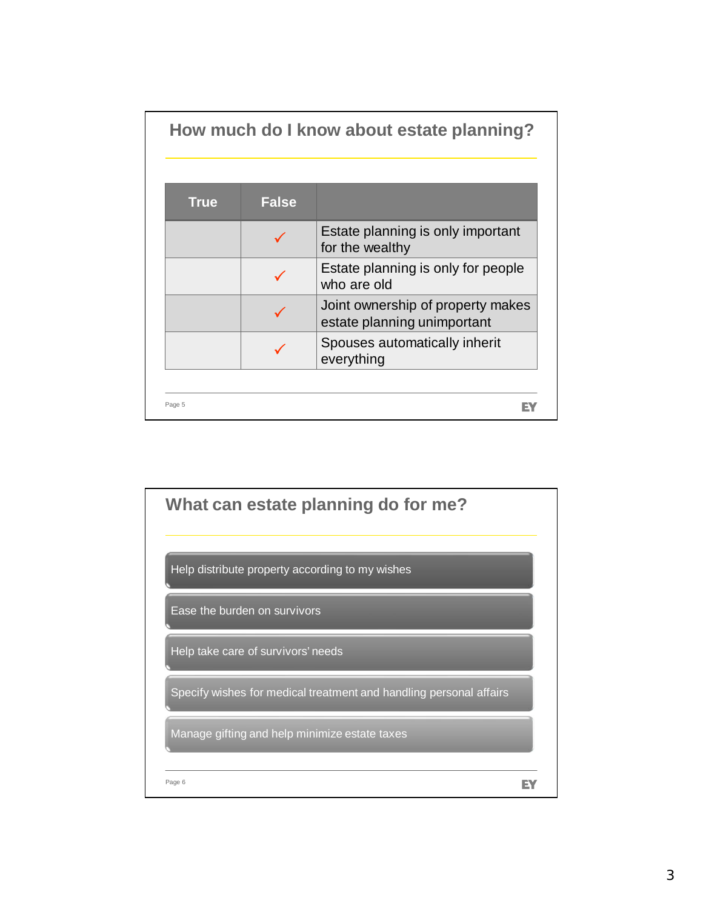|                                                                  | <b>False</b> | <b>True</b> |
|------------------------------------------------------------------|--------------|-------------|
| Estate planning is only important<br>for the wealthy             |              |             |
| Estate planning is only for people<br>who are old                |              |             |
| Joint ownership of property makes<br>estate planning unimportant |              |             |
| Spouses automatically inherit<br>everything                      |              |             |

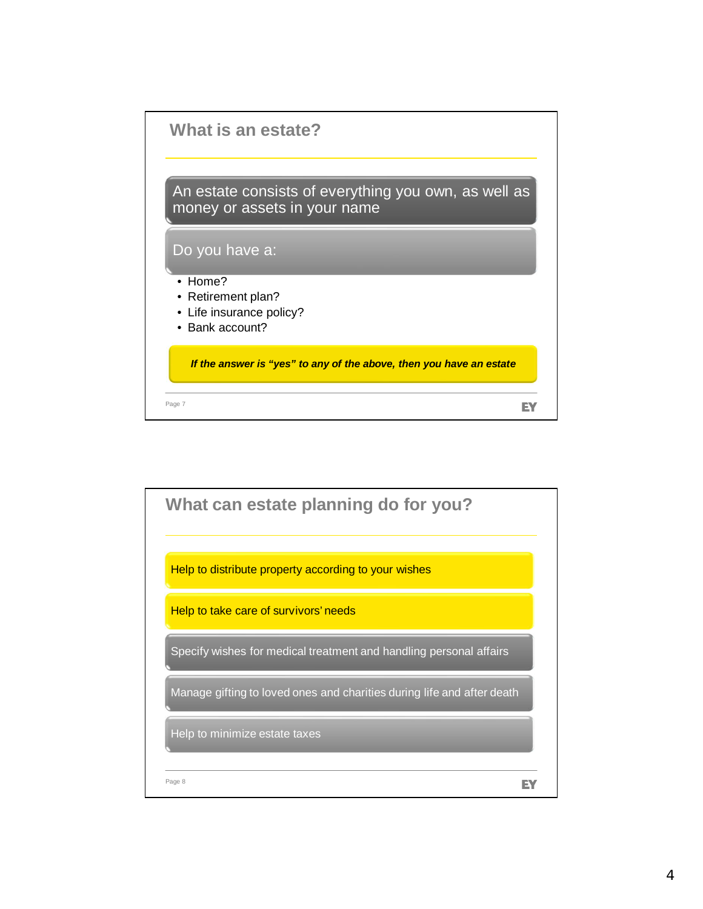

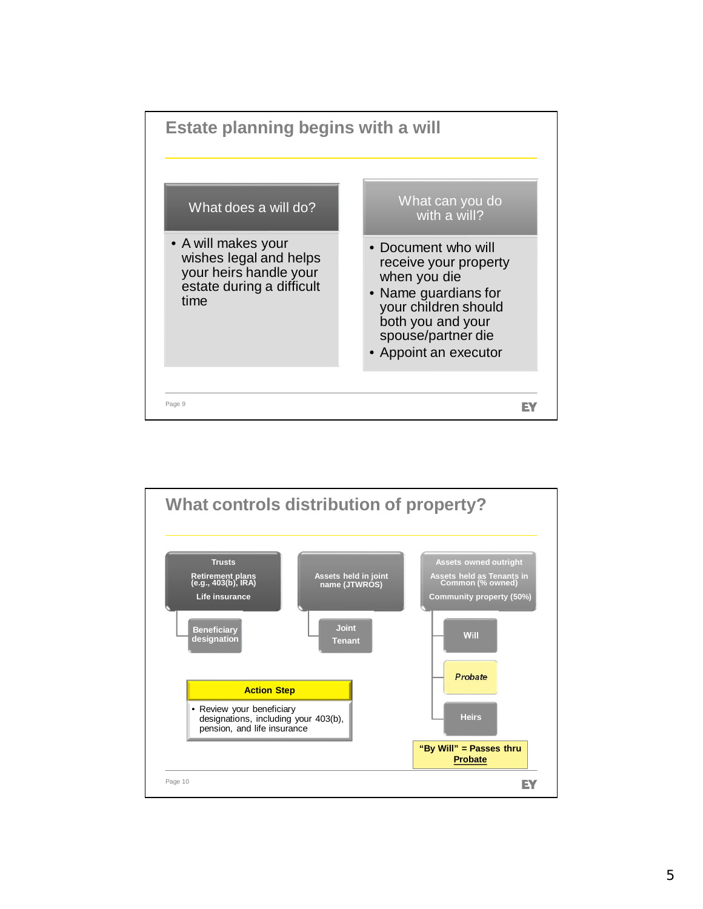

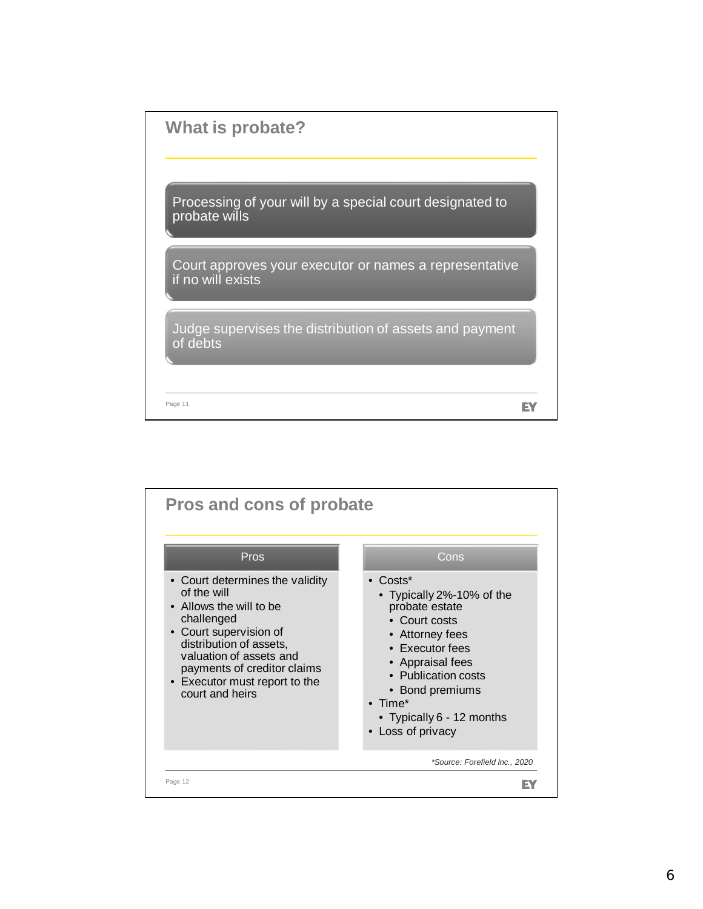

| Pros                                                                                                                                                                                                                                                       | Cons                                                                                                                                                                                                                                                            |
|------------------------------------------------------------------------------------------------------------------------------------------------------------------------------------------------------------------------------------------------------------|-----------------------------------------------------------------------------------------------------------------------------------------------------------------------------------------------------------------------------------------------------------------|
| • Court determines the validity<br>of the will<br>• Allows the will to be<br>challenged<br>• Court supervision of<br>distribution of assets,<br>valuation of assets and<br>payments of creditor claims<br>• Executor must report to the<br>court and heirs | $\bullet$ Costs*<br>• Typically 2%-10% of the<br>probate estate<br>Court costs<br>• Attorney fees<br>$\bullet$ Executor fees<br>• Appraisal fees<br>• Publication costs<br>• Bond premiums<br>$\bullet$ Time*<br>• Typically 6 - 12 months<br>• Loss of privacy |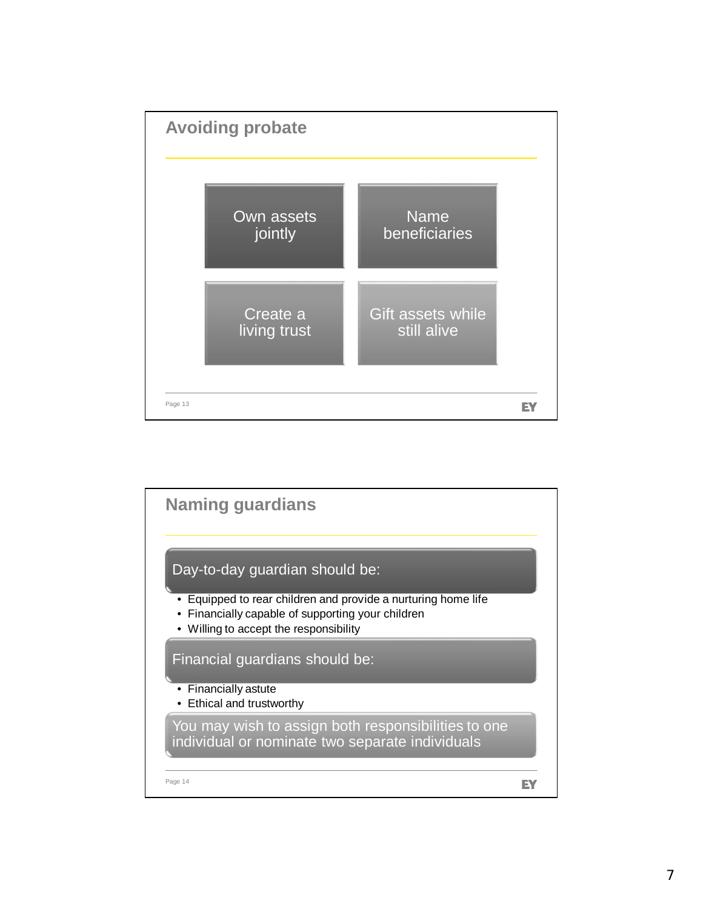

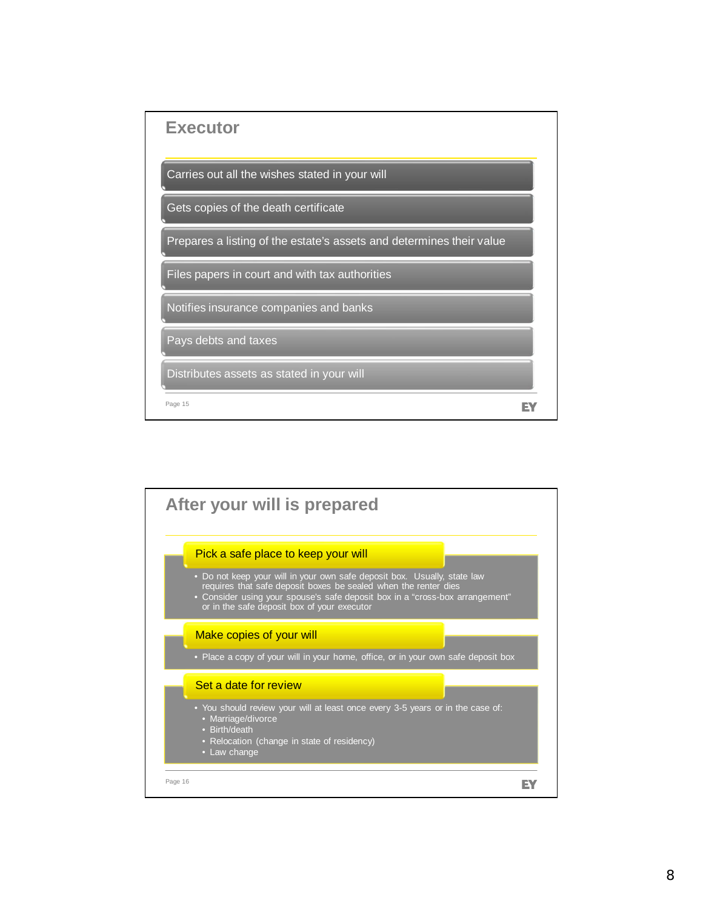

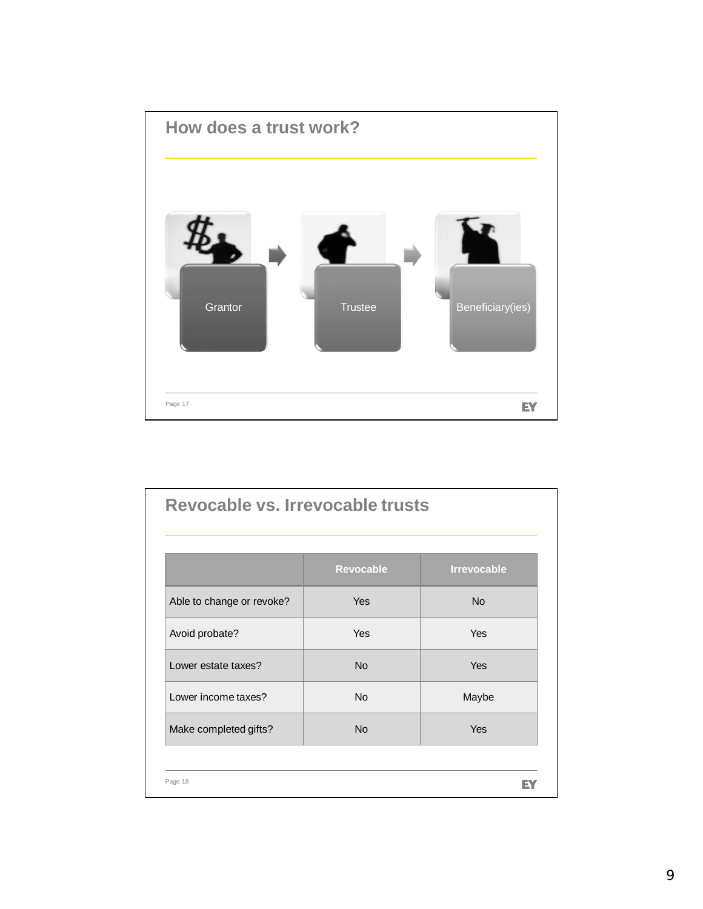

|                           | <b>Revocable</b> | <b>Irrevocable</b> |
|---------------------------|------------------|--------------------|
| Able to change or revoke? | <b>Yes</b>       | <b>No</b>          |
| Avoid probate?            | <b>Yes</b>       | Yes                |
| Lower estate taxes?       | <b>No</b>        | Yes                |
| Lower income taxes?       | <b>No</b>        | Maybe              |
| Make completed gifts?     | <b>No</b>        | <b>Yes</b>         |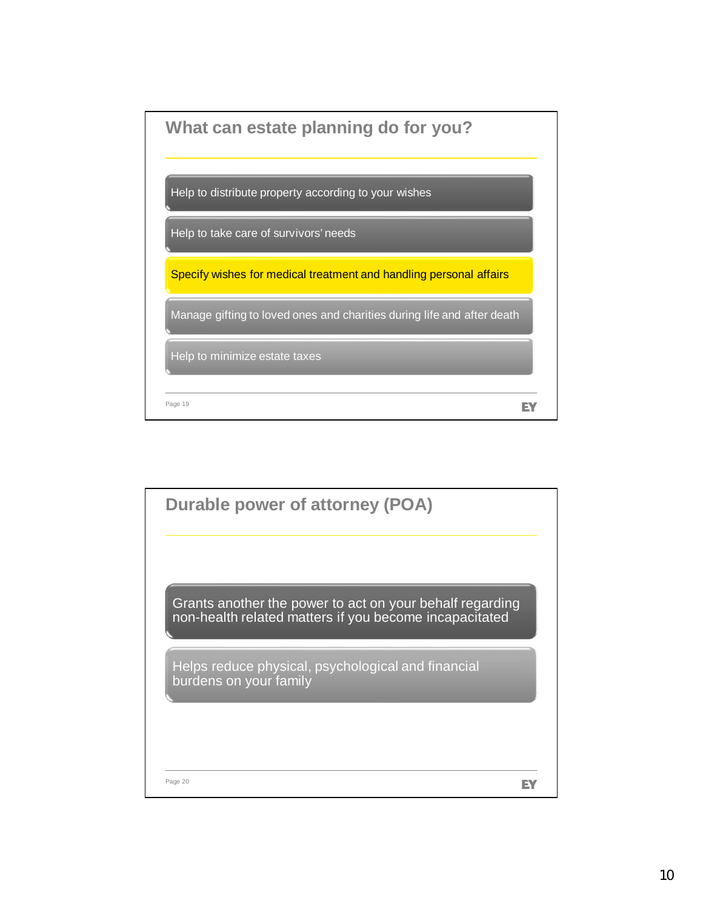

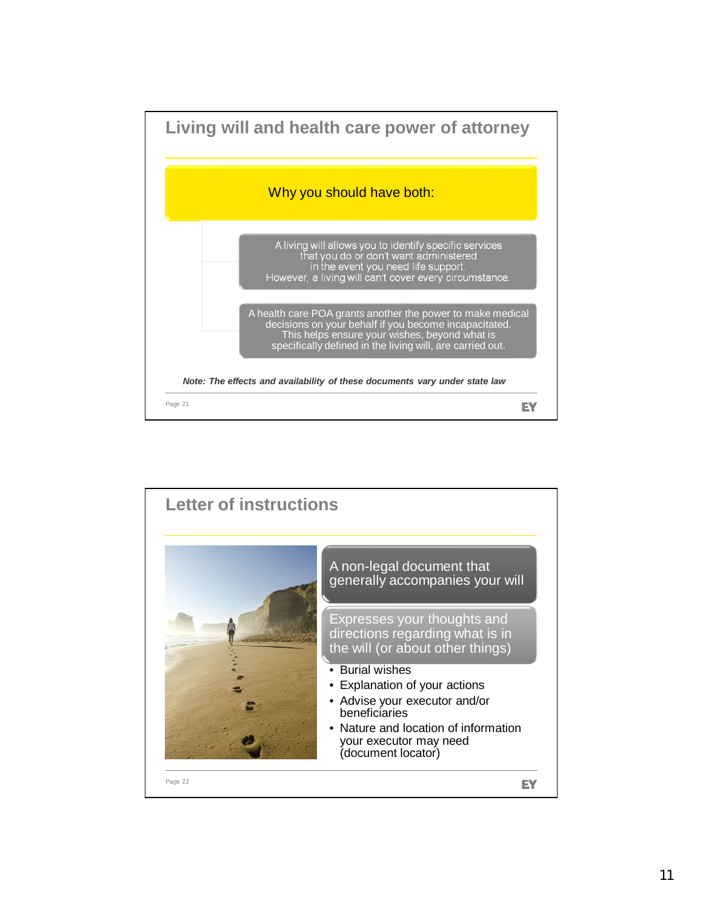

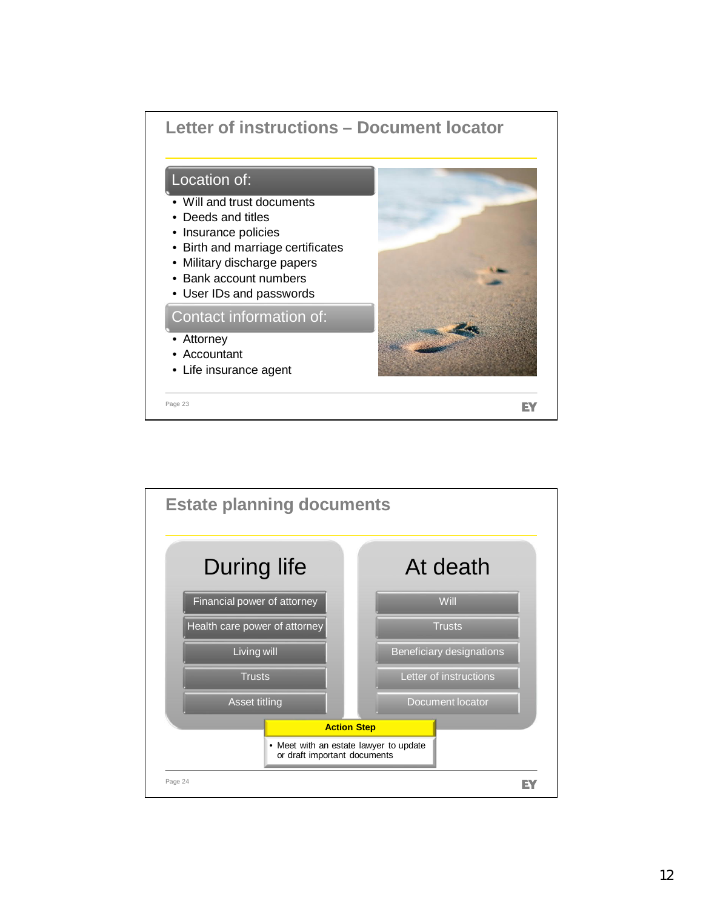

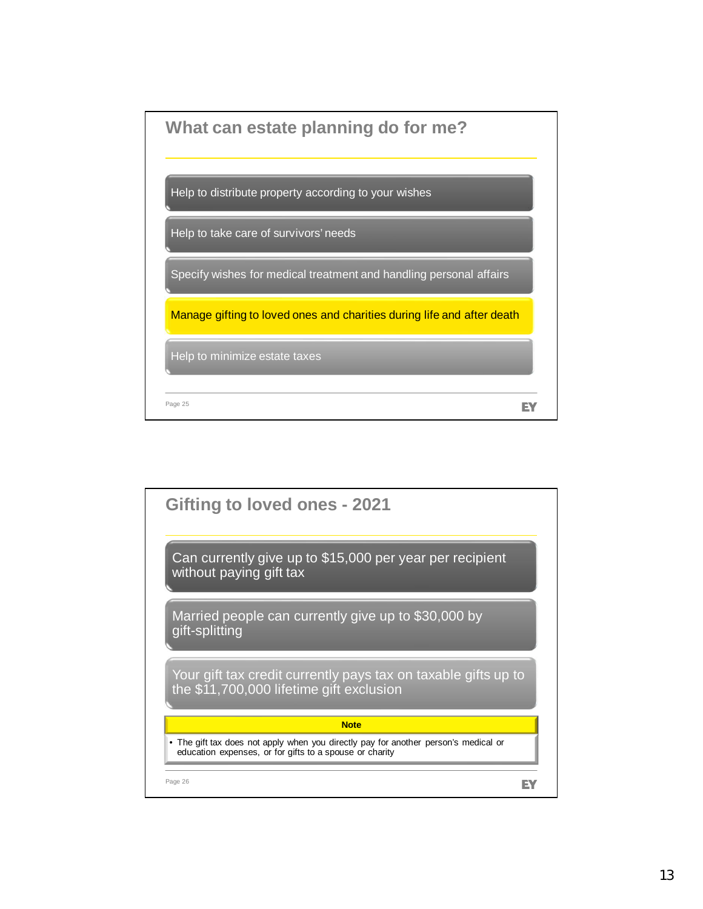

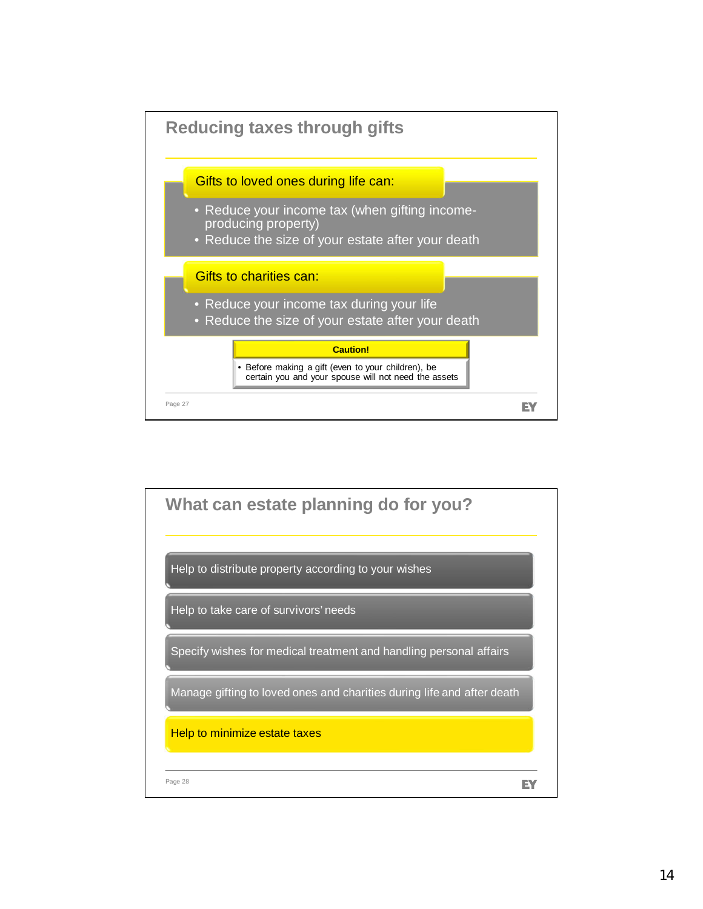

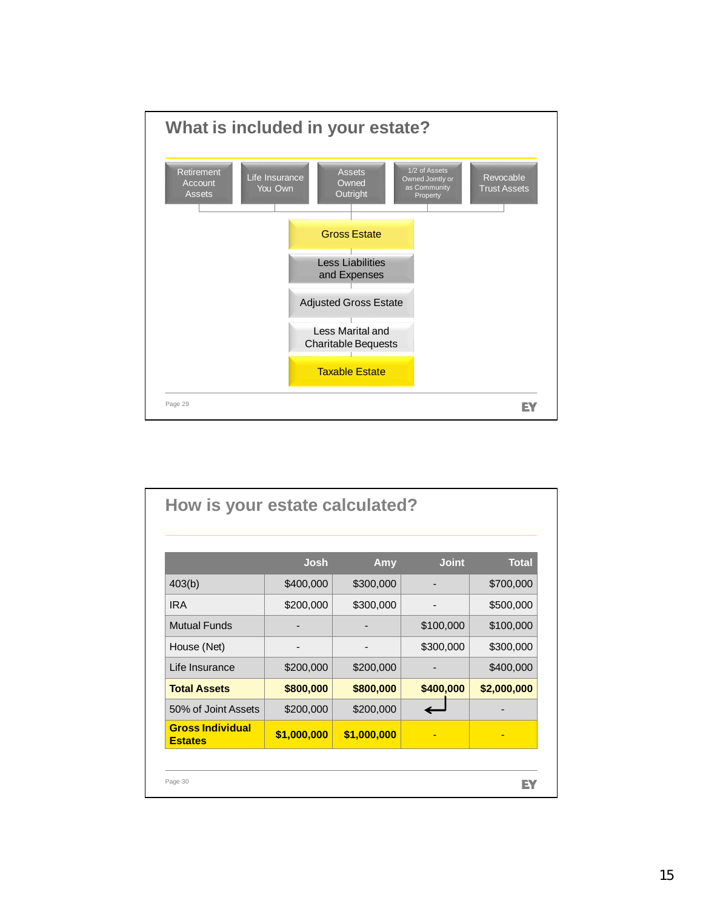

|                                           | <b>Josh</b> | Amy         | <b>Joint</b> | <b>Total</b> |
|-------------------------------------------|-------------|-------------|--------------|--------------|
| 403(b)                                    | \$400,000   | \$300,000   |              | \$700,000    |
| <b>IRA</b>                                | \$200,000   | \$300,000   |              | \$500,000    |
| <b>Mutual Funds</b>                       |             |             | \$100,000    | \$100,000    |
| House (Net)                               | -           |             | \$300,000    | \$300,000    |
| Life Insurance                            | \$200,000   | \$200,000   |              | \$400,000    |
| <b>Total Assets</b>                       | \$800,000   | \$800,000   | \$400,000    | \$2,000,000  |
| 50% of Joint Assets                       | \$200,000   | \$200,000   |              |              |
| <b>Gross Individual</b><br><b>Estates</b> | \$1,000,000 | \$1,000,000 |              |              |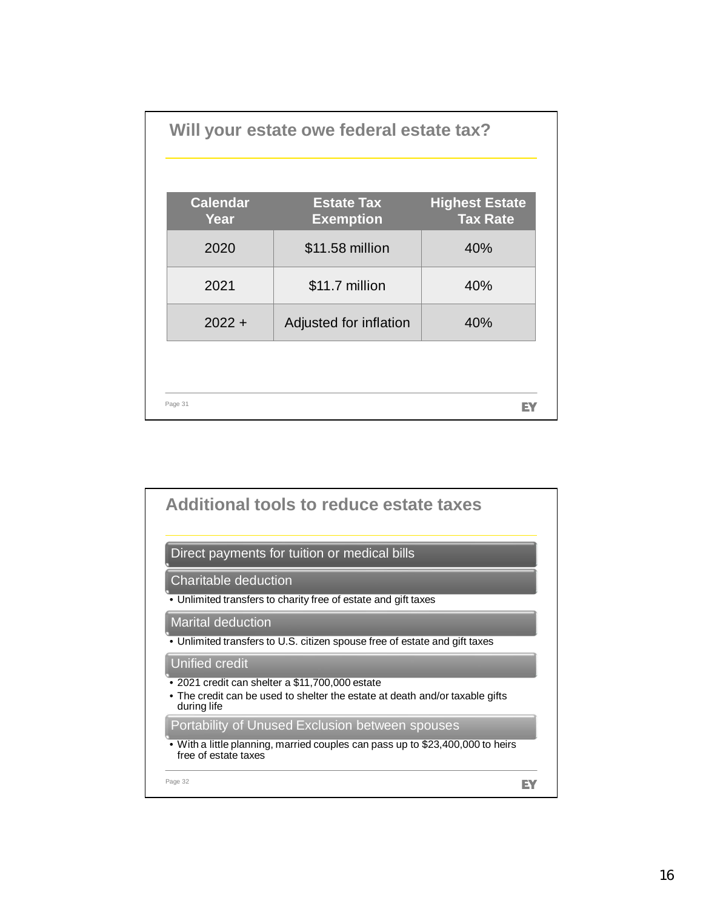| <b>Calendar</b><br>Year | <b>Estate Tax</b><br><b>Exemption</b> | <b>Highest Estate</b><br><b>Tax Rate</b> |
|-------------------------|---------------------------------------|------------------------------------------|
| 2020                    | \$11.58 million                       | 40%                                      |
| 2021                    | \$11.7 million                        | 40%                                      |
| $2022 +$                | Adjusted for inflation                | 40%                                      |

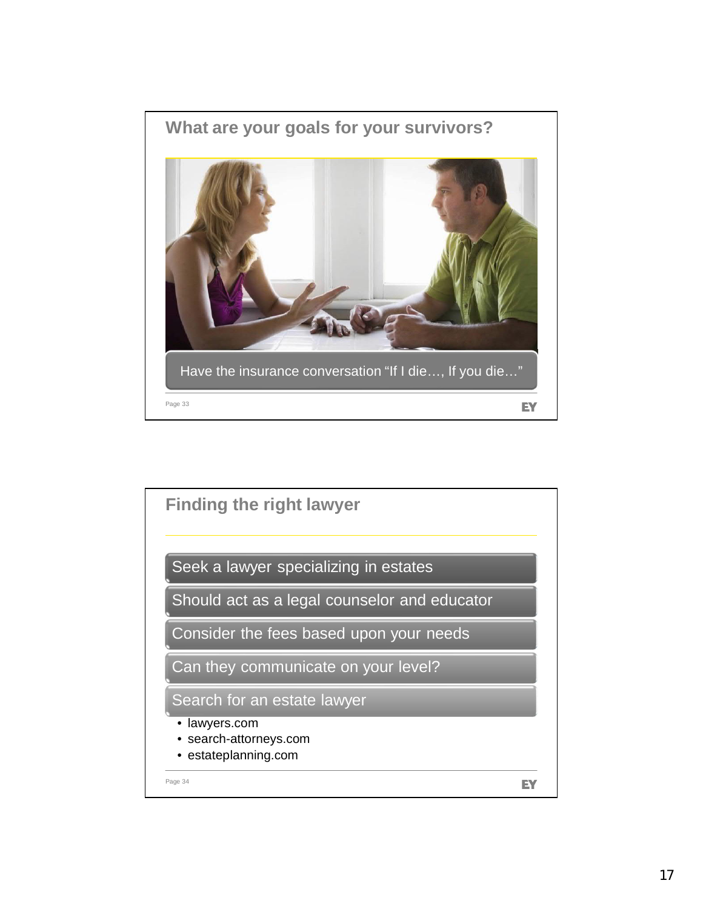

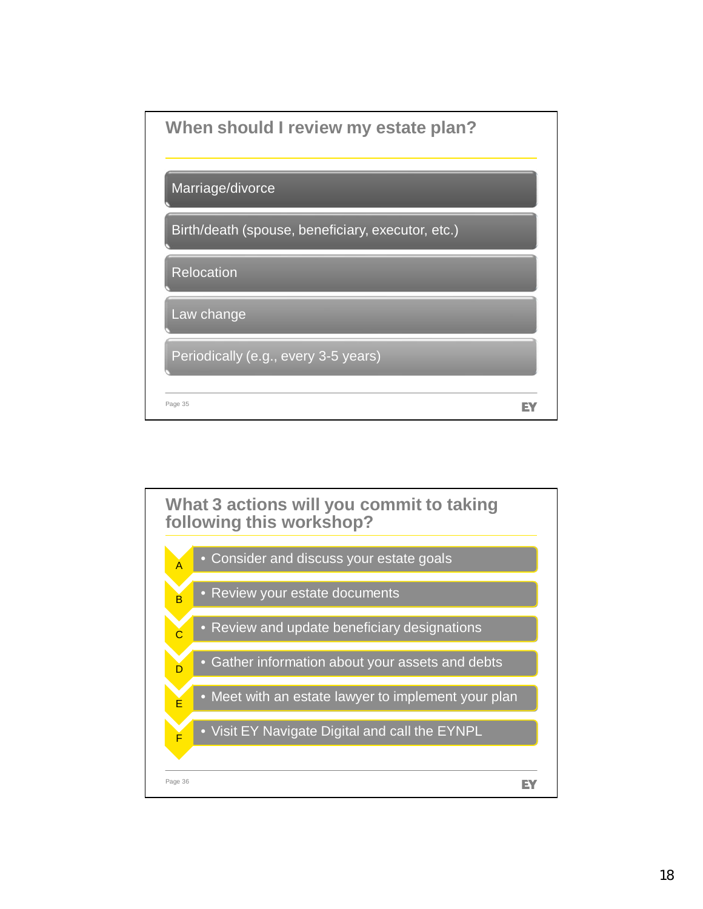

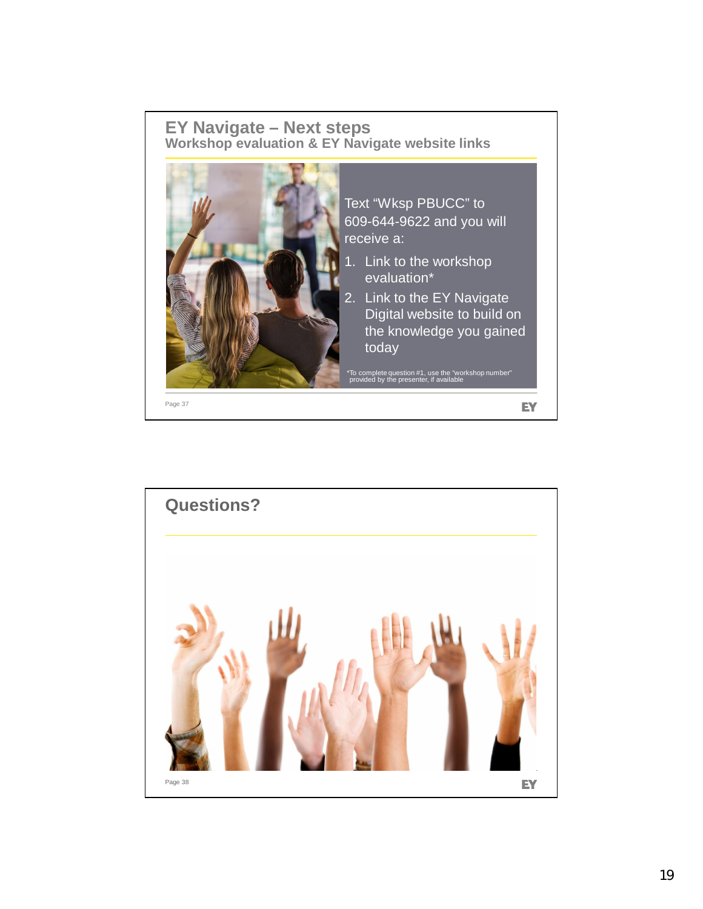## **EY Navigate – Next steps Workshop evaluation & EY Navigate website links**



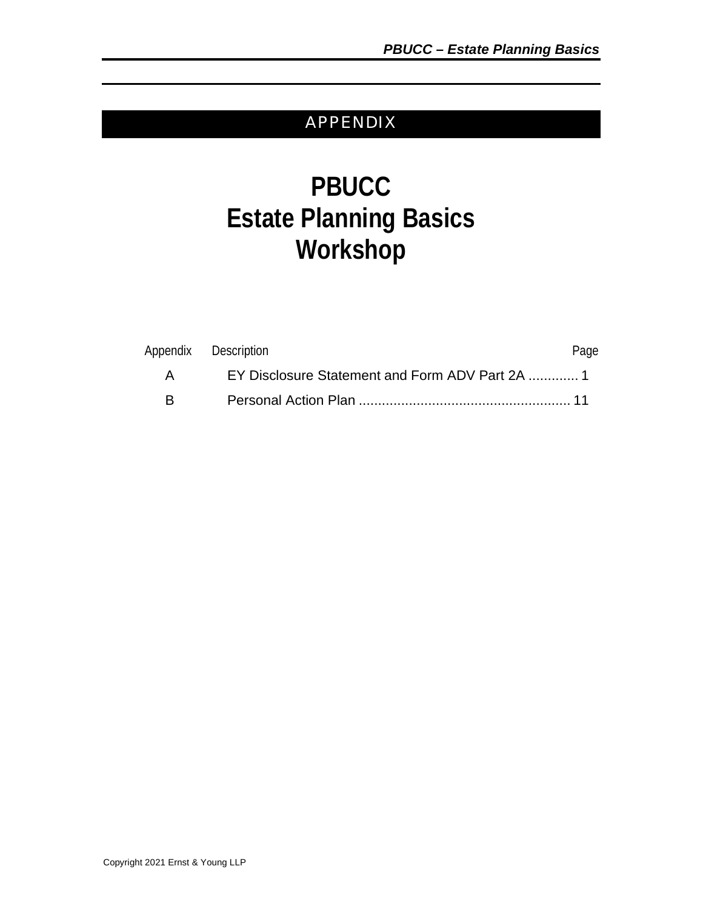# APPENDIX

# **PBUCC Estate Planning Basics Workshop**

|                | Appendix Description                            | Page |
|----------------|-------------------------------------------------|------|
| $\overline{A}$ | EY Disclosure Statement and Form ADV Part 2A  1 |      |
| R.             |                                                 |      |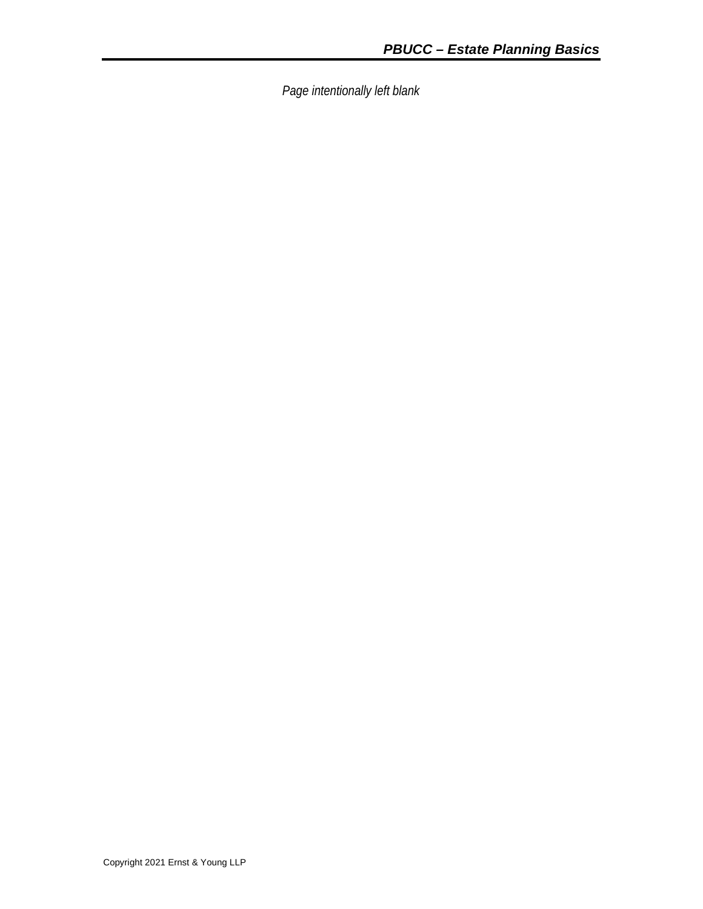*Page intentionally left blank*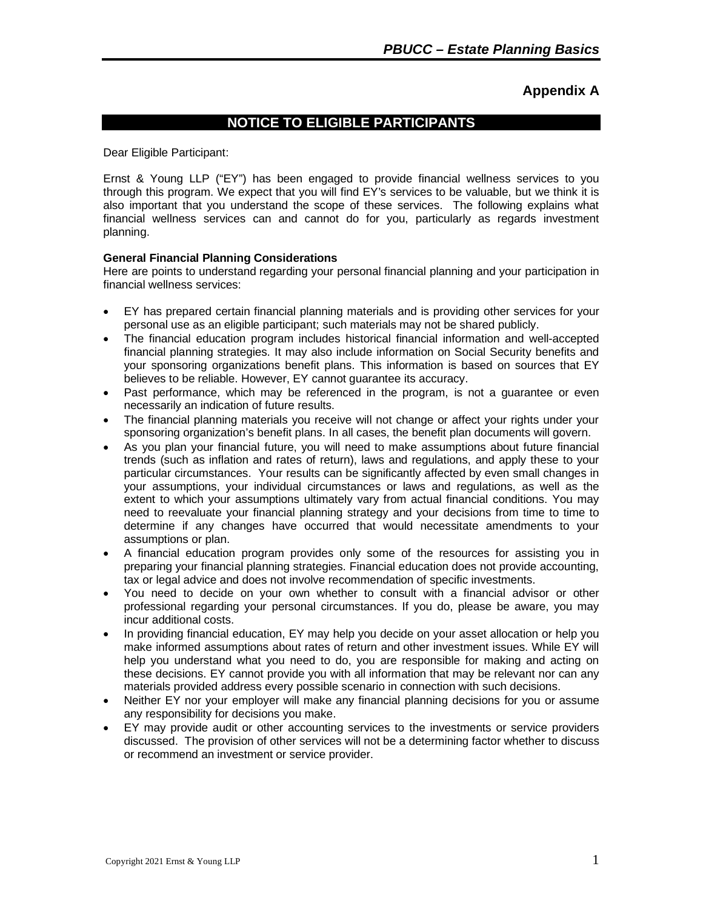### **Appendix A**

## **NOTICE TO ELIGIBLE PARTICIPANTS**

Dear Eligible Participant:

Ernst & Young LLP ("EY") has been engaged to provide financial wellness services to you through this program. We expect that you will find EY's services to be valuable, but we think it is also important that you understand the scope of these services. The following explains what financial wellness services can and cannot do for you, particularly as regards investment planning.

#### **General Financial Planning Considerations**

Here are points to understand regarding your personal financial planning and your participation in financial wellness services:

- EY has prepared certain financial planning materials and is providing other services for your personal use as an eligible participant; such materials may not be shared publicly.
- The financial education program includes historical financial information and well-accepted financial planning strategies. It may also include information on Social Security benefits and your sponsoring organizations benefit plans. This information is based on sources that EY believes to be reliable. However, EY cannot guarantee its accuracy.
- Past performance, which may be referenced in the program, is not a guarantee or even necessarily an indication of future results.
- The financial planning materials you receive will not change or affect your rights under your sponsoring organization's benefit plans. In all cases, the benefit plan documents will govern.
- As you plan your financial future, you will need to make assumptions about future financial trends (such as inflation and rates of return), laws and regulations, and apply these to your particular circumstances. Your results can be significantly affected by even small changes in your assumptions, your individual circumstances or laws and regulations, as well as the extent to which your assumptions ultimately vary from actual financial conditions. You may need to reevaluate your financial planning strategy and your decisions from time to time to determine if any changes have occurred that would necessitate amendments to your assumptions or plan.
- A financial education program provides only some of the resources for assisting you in preparing your financial planning strategies. Financial education does not provide accounting, tax or legal advice and does not involve recommendation of specific investments.
- You need to decide on your own whether to consult with a financial advisor or other professional regarding your personal circumstances. If you do, please be aware, you may incur additional costs.
- In providing financial education, EY may help you decide on your asset allocation or help you make informed assumptions about rates of return and other investment issues. While EY will help you understand what you need to do, you are responsible for making and acting on these decisions. EY cannot provide you with all information that may be relevant nor can any materials provided address every possible scenario in connection with such decisions.
- Neither EY nor your employer will make any financial planning decisions for you or assume any responsibility for decisions you make.
- EY may provide audit or other accounting services to the investments or service providers discussed. The provision of other services will not be a determining factor whether to discuss or recommend an investment or service provider.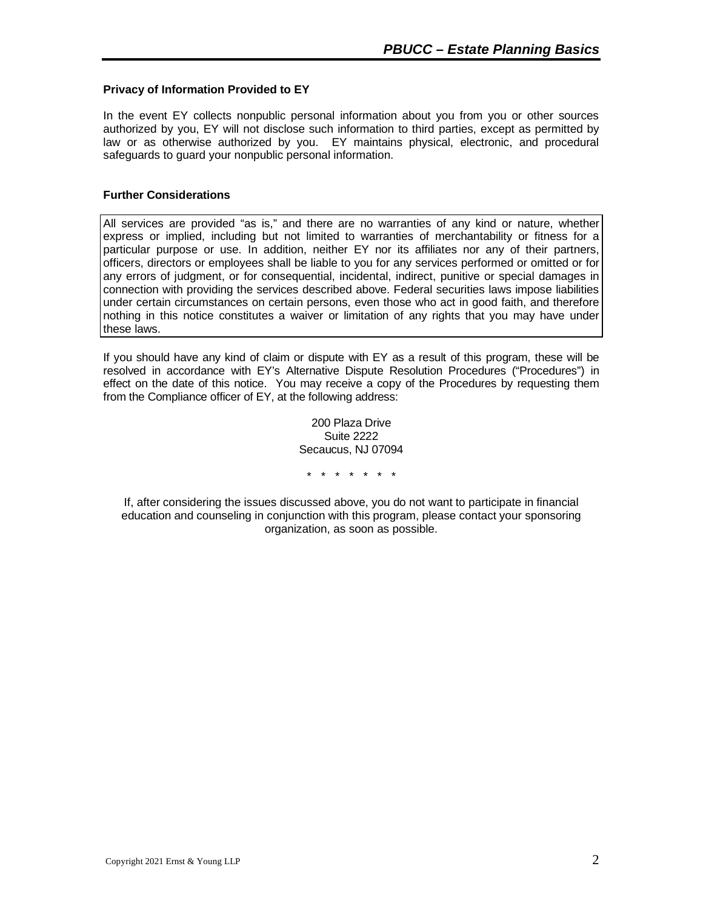#### **Privacy of Information Provided to EY**

In the event EY collects nonpublic personal information about you from you or other sources authorized by you, EY will not disclose such information to third parties, except as permitted by law or as otherwise authorized by you. EY maintains physical, electronic, and procedural safeguards to guard your nonpublic personal information.

#### **Further Considerations**

All services are provided "as is," and there are no warranties of any kind or nature, whether express or implied, including but not limited to warranties of merchantability or fitness for a particular purpose or use. In addition, neither EY nor its affiliates nor any of their partners, officers, directors or employees shall be liable to you for any services performed or omitted or for any errors of judgment, or for consequential, incidental, indirect, punitive or special damages in connection with providing the services described above. Federal securities laws impose liabilities under certain circumstances on certain persons, even those who act in good faith, and therefore nothing in this notice constitutes a waiver or limitation of any rights that you may have under these laws.

If you should have any kind of claim or dispute with EY as a result of this program, these will be resolved in accordance with EY's Alternative Dispute Resolution Procedures ("Procedures") in effect on the date of this notice. You may receive a copy of the Procedures by requesting them from the Compliance officer of EY, at the following address:

> 200 Plaza Drive Suite 2222 Secaucus, NJ 07094

\* \* \* \* \* \* \*

If, after considering the issues discussed above, you do not want to participate in financial education and counseling in conjunction with this program, please contact your sponsoring organization, as soon as possible.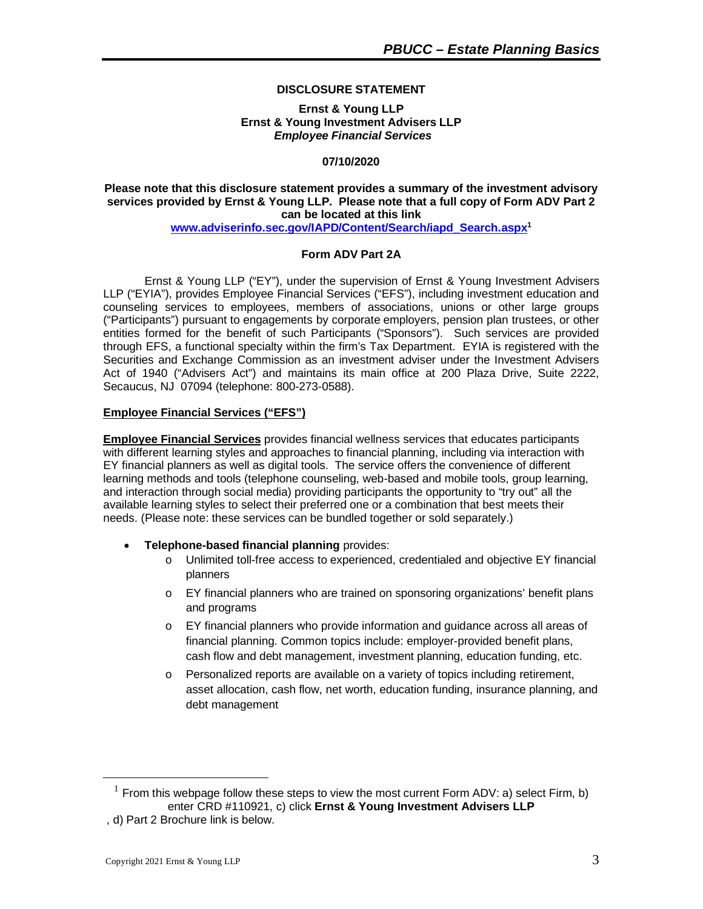#### **DISCLOSURE STATEMENT**

#### **Ernst & Young LLP Ernst & Young Investment Advisers LLP** *Employee Financial Services*

#### **07/10/2020**

#### **Please note that this disclosure statement provides a summary of the investment advisory services provided by Ernst & Young LLP. Please note that a full copy of Form ADV Part 2 can be located at this link www.adviserinfo.sec.gov/IAPD/Content/Search/iapd\_Search.aspx<sup>1</sup>**

#### **Form ADV Part 2A**

Ernst & Young LLP ("EY"), under the supervision of Ernst & Young Investment Advisers LLP ("EYIA"), provides Employee Financial Services ("EFS"), including investment education and counseling services to employees, members of associations, unions or other large groups ("Participants") pursuant to engagements by corporate employers, pension plan trustees, or other entities formed for the benefit of such Participants ("Sponsors"). Such services are provided through EFS, a functional specialty within the firm's Tax Department. EYIA is registered with the Securities and Exchange Commission as an investment adviser under the Investment Advisers Act of 1940 ("Advisers Act") and maintains its main office at 200 Plaza Drive, Suite 2222, Secaucus, NJ 07094 (telephone: 800-273-0588).

#### **Employee Financial Services ("EFS")**

**Employee Financial Services** provides financial wellness services that educates participants with different learning styles and approaches to financial planning, including via interaction with EY financial planners as well as digital tools. The service offers the convenience of different learning methods and tools (telephone counseling, web-based and mobile tools, group learning, and interaction through social media) providing participants the opportunity to "try out" all the available learning styles to select their preferred one or a combination that best meets their needs. (Please note: these services can be bundled together or sold separately.)

- **Telephone-based financial planning** provides:
	- o Unlimited toll-free access to experienced, credentialed and objective EY financial planners
	- o EY financial planners who are trained on sponsoring organizations' benefit plans and programs
	- o EY financial planners who provide information and guidance across all areas of financial planning. Common topics include: employer-provided benefit plans, cash flow and debt management, investment planning, education funding, etc.
	- o Personalized reports are available on a variety of topics including retirement, asset allocation, cash flow, net worth, education funding, insurance planning, and debt management

 $1$  From this webpage follow these steps to view the most current Form ADV: a) select Firm, b) enter CRD #110921, c) click **Ernst & Young Investment Advisers LLP**

 <sup>,</sup> d) Part 2 Brochure link is below.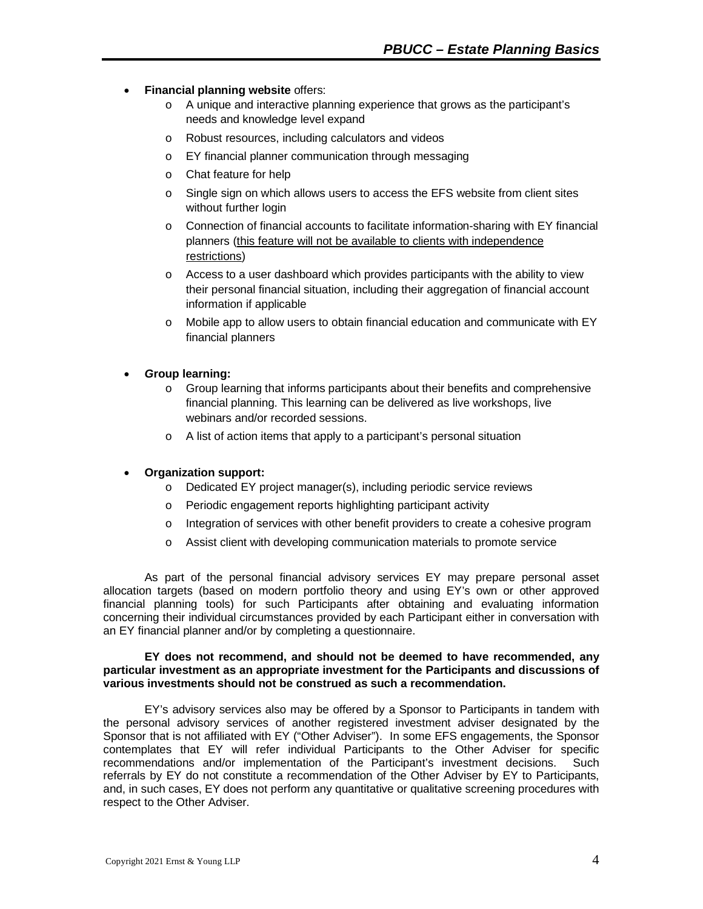- **Financial planning website** offers:
	- o A unique and interactive planning experience that grows as the participant's needs and knowledge level expand
	- o Robust resources, including calculators and videos
	- o EY financial planner communication through messaging
	- o Chat feature for help
	- o Single sign on which allows users to access the EFS website from client sites without further login
	- o Connection of financial accounts to facilitate information-sharing with EY financial planners (this feature will not be available to clients with independence restrictions)
	- $\circ$  Access to a user dashboard which provides participants with the ability to view their personal financial situation, including their aggregation of financial account information if applicable
	- o Mobile app to allow users to obtain financial education and communicate with EY financial planners

#### *G***roup learning:**

- $\circ$  Group learning that informs participants about their benefits and comprehensive financial planning. This learning can be delivered as live workshops, live webinars and/or recorded sessions.
- o A list of action items that apply to a participant's personal situation

#### **Organization support:**

- o Dedicated EY project manager(s), including periodic service reviews
- o Periodic engagement reports highlighting participant activity
- o Integration of services with other benefit providers to create a cohesive program
- o Assist client with developing communication materials to promote service

As part of the personal financial advisory services EY may prepare personal asset allocation targets (based on modern portfolio theory and using EY's own or other approved financial planning tools) for such Participants after obtaining and evaluating information concerning their individual circumstances provided by each Participant either in conversation with an EY financial planner and/or by completing a questionnaire.

#### **EY does not recommend, and should not be deemed to have recommended, any particular investment as an appropriate investment for the Participants and discussions of various investments should not be construed as such a recommendation.**

EY's advisory services also may be offered by a Sponsor to Participants in tandem with the personal advisory services of another registered investment adviser designated by the Sponsor that is not affiliated with EY ("Other Adviser"). In some EFS engagements, the Sponsor contemplates that EY will refer individual Participants to the Other Adviser for specific recommendations and/or implementation of the Participant's investment decisions. Such referrals by EY do not constitute a recommendation of the Other Adviser by EY to Participants, and, in such cases, EY does not perform any quantitative or qualitative screening procedures with respect to the Other Adviser.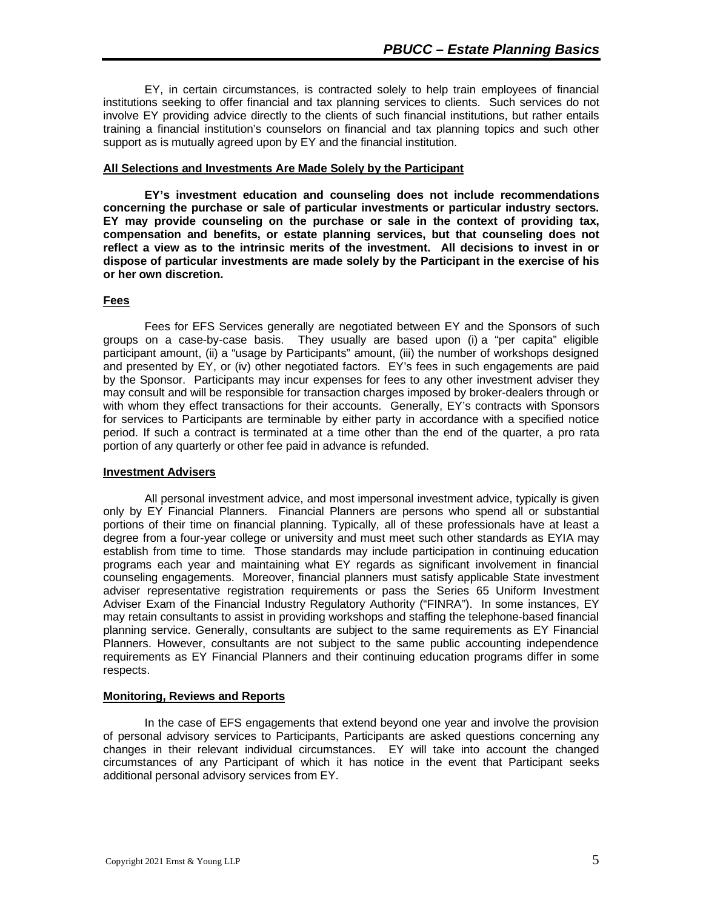EY, in certain circumstances, is contracted solely to help train employees of financial institutions seeking to offer financial and tax planning services to clients. Such services do not involve EY providing advice directly to the clients of such financial institutions, but rather entails training a financial institution's counselors on financial and tax planning topics and such other support as is mutually agreed upon by EY and the financial institution.

#### **All Selections and Investments Are Made Solely by the Participant**

**EY's investment education and counseling does not include recommendations concerning the purchase or sale of particular investments or particular industry sectors. EY may provide counseling on the purchase or sale in the context of providing tax, compensation and benefits, or estate planning services, but that counseling does not reflect a view as to the intrinsic merits of the investment. All decisions to invest in or dispose of particular investments are made solely by the Participant in the exercise of his or her own discretion.**

#### **Fees**

Fees for EFS Services generally are negotiated between EY and the Sponsors of such groups on a case-by-case basis. They usually are based upon (i) a "per capita" eligible participant amount, (ii) a "usage by Participants" amount, (iii) the number of workshops designed and presented by EY, or (iv) other negotiated factors. EY's fees in such engagements are paid by the Sponsor. Participants may incur expenses for fees to any other investment adviser they may consult and will be responsible for transaction charges imposed by broker-dealers through or with whom they effect transactions for their accounts. Generally, EY's contracts with Sponsors for services to Participants are terminable by either party in accordance with a specified notice period. If such a contract is terminated at a time other than the end of the quarter, a pro rata portion of any quarterly or other fee paid in advance is refunded.

#### **Investment Advisers**

All personal investment advice, and most impersonal investment advice, typically is given only by EY Financial Planners. Financial Planners are persons who spend all or substantial portions of their time on financial planning. Typically, all of these professionals have at least a degree from a four-year college or university and must meet such other standards as EYIA may establish from time to time. Those standards may include participation in continuing education programs each year and maintaining what EY regards as significant involvement in financial counseling engagements. Moreover, financial planners must satisfy applicable State investment adviser representative registration requirements or pass the Series 65 Uniform Investment Adviser Exam of the Financial Industry Regulatory Authority ("FINRA"). In some instances, EY may retain consultants to assist in providing workshops and staffing the telephone-based financial planning service. Generally, consultants are subject to the same requirements as EY Financial Planners. However, consultants are not subject to the same public accounting independence requirements as EY Financial Planners and their continuing education programs differ in some respects.

#### **Monitoring, Reviews and Reports**

In the case of EFS engagements that extend beyond one year and involve the provision of personal advisory services to Participants, Participants are asked questions concerning any changes in their relevant individual circumstances. EY will take into account the changed circumstances of any Participant of which it has notice in the event that Participant seeks additional personal advisory services from EY.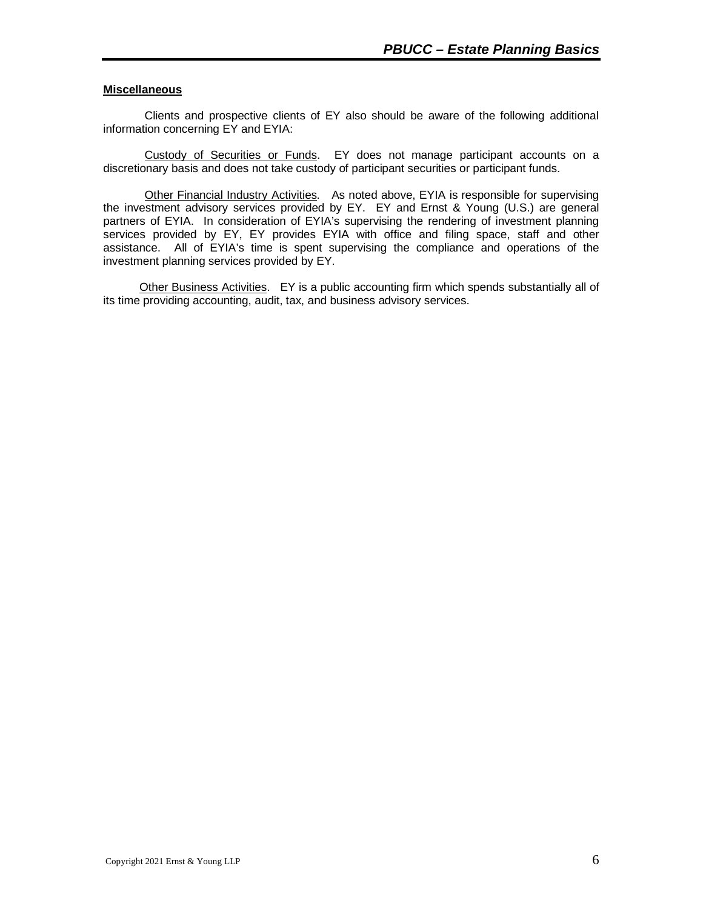#### **Miscellaneous**

Clients and prospective clients of EY also should be aware of the following additional information concerning EY and EYIA:

Custody of Securities or Funds. EY does not manage participant accounts on a discretionary basis and does not take custody of participant securities or participant funds.

Other Financial Industry Activities. As noted above, EYIA is responsible for supervising the investment advisory services provided by EY. EY and Ernst & Young (U.S.) are general partners of EYIA. In consideration of EYIA's supervising the rendering of investment planning services provided by EY, EY provides EYIA with office and filing space, staff and other assistance. All of EYIA's time is spent supervising the compliance and operations of the investment planning services provided by EY.

Other Business Activities. EY is a public accounting firm which spends substantially all of its time providing accounting, audit, tax, and business advisory services.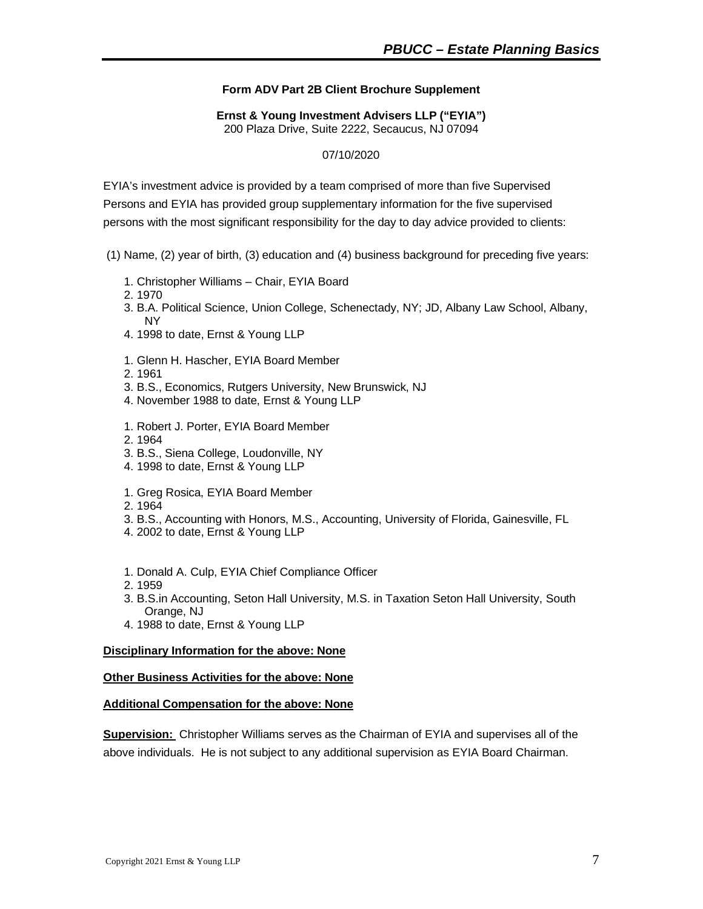#### **Form ADV Part 2B Client Brochure Supplement**

**Ernst & Young Investment Advisers LLP ("EYIA")** 200 Plaza Drive, Suite 2222, Secaucus, NJ 07094

#### 07/10/2020

EYIA's investment advice is provided by a team comprised of more than five Supervised Persons and EYIA has provided group supplementary information for the five supervised persons with the most significant responsibility for the day to day advice provided to clients:

(1) Name, (2) year of birth, (3) education and (4) business background for preceding five years:

- 1. Christopher Williams Chair, EYIA Board
- 2. 1970
- 3. B.A. Political Science, Union College, Schenectady, NY; JD, Albany Law School, Albany, NY
- 4. 1998 to date, Ernst & Young LLP
- 1. Glenn H. Hascher, EYIA Board Member
- 2. 1961
- 3. B.S., Economics, Rutgers University, New Brunswick, NJ
- 4. November 1988 to date, Ernst & Young LLP
- 1. Robert J. Porter, EYIA Board Member
- 2. 1964
- 3. B.S., Siena College, Loudonville, NY
- 4. 1998 to date, Ernst & Young LLP
- 1. Greg Rosica, EYIA Board Member
- 2. 1964
- 3. B.S., Accounting with Honors, M.S., Accounting, University of Florida, Gainesville, FL
- 4. 2002 to date, Ernst & Young LLP
- 1. Donald A. Culp, EYIA Chief Compliance Officer
- 2. 1959
- 3. B.S.in Accounting, Seton Hall University, M.S. in Taxation Seton Hall University, South Orange, NJ
- 4. 1988 to date, Ernst & Young LLP

#### **Disciplinary Information for the above: None**

#### **Other Business Activities for the above: None**

#### **Additional Compensation for the above: None**

**Supervision:** Christopher Williams serves as the Chairman of EYIA and supervises all of the above individuals. He is not subject to any additional supervision as EYIA Board Chairman.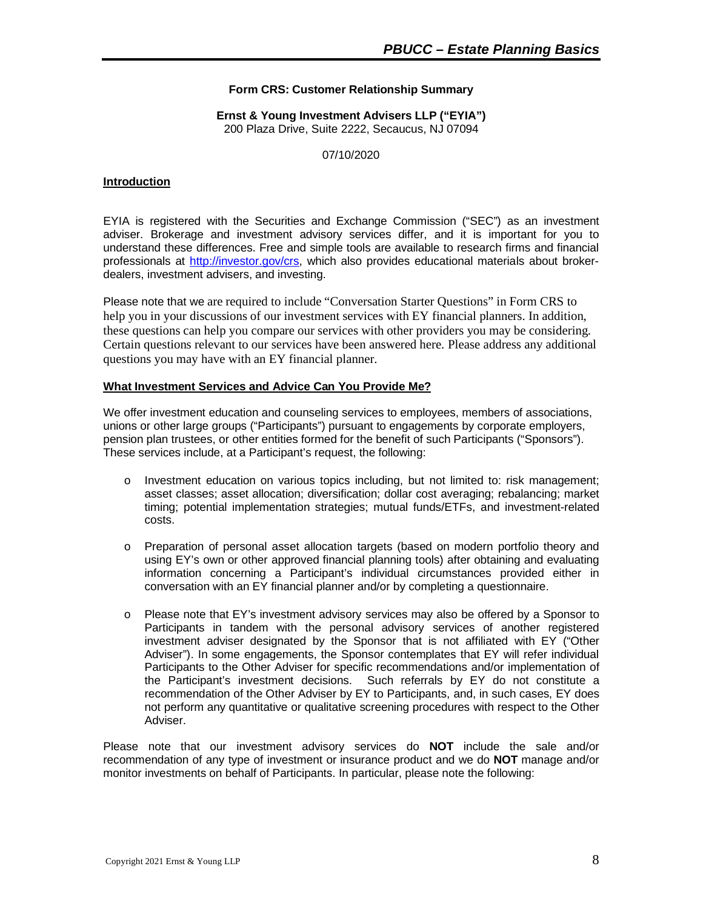#### **Form CRS: Customer Relationship Summary**

**Ernst & Young Investment Advisers LLP ("EYIA")** 200 Plaza Drive, Suite 2222, Secaucus, NJ 07094

07/10/2020

#### **Introduction**

EYIA is registered with the Securities and Exchange Commission ("SEC") as an investment adviser. Brokerage and investment advisory services differ, and it is important for you to understand these differences. Free and simple tools are available to research firms and financial professionals at http://investor.gov/crs, which also provides educational materials about brokerdealers, investment advisers, and investing.

Please note that we are required to include "Conversation Starter Questions" in Form CRS to help you in your discussions of our investment services with EY financial planners. In addition, these questions can help you compare our services with other providers you may be considering. Certain questions relevant to our services have been answered here. Please address any additional questions you may have with an EY financial planner.

#### **What Investment Services and Advice Can You Provide Me?**

We offer investment education and counseling services to employees, members of associations, unions or other large groups ("Participants") pursuant to engagements by corporate employers, pension plan trustees, or other entities formed for the benefit of such Participants ("Sponsors"). These services include, at a Participant's request, the following:

- o Investment education on various topics including, but not limited to: risk management; asset classes; asset allocation; diversification; dollar cost averaging; rebalancing; market timing; potential implementation strategies; mutual funds/ETFs, and investment-related costs.
- o Preparation of personal asset allocation targets (based on modern portfolio theory and using EY's own or other approved financial planning tools) after obtaining and evaluating information concerning a Participant's individual circumstances provided either in conversation with an EY financial planner and/or by completing a questionnaire.
- o Please note that EY's investment advisory services may also be offered by a Sponsor to Participants in tandem with the personal advisory services of another registered investment adviser designated by the Sponsor that is not affiliated with EY ("Other Adviser"). In some engagements, the Sponsor contemplates that EY will refer individual Participants to the Other Adviser for specific recommendations and/or implementation of the Participant's investment decisions. Such referrals by EY do not constitute a recommendation of the Other Adviser by EY to Participants, and, in such cases, EY does not perform any quantitative or qualitative screening procedures with respect to the Other Adviser.

Please note that our investment advisory services do **NOT** include the sale and/or recommendation of any type of investment or insurance product and we do **NOT** manage and/or monitor investments on behalf of Participants. In particular, please note the following: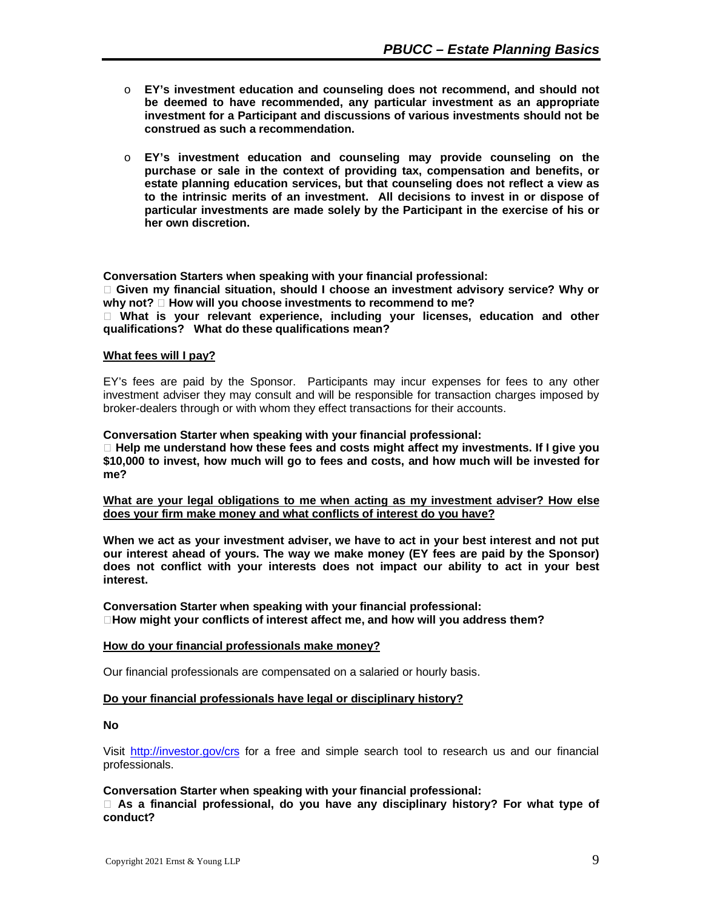- o **EY's investment education and counseling does not recommend, and should not be deemed to have recommended, any particular investment as an appropriate investment for a Participant and discussions of various investments should not be construed as such a recommendation.**
- o **EY's investment education and counseling may provide counseling on the purchase or sale in the context of providing tax, compensation and benefits, or estate planning education services, but that counseling does not reflect a view as to the intrinsic merits of an investment. All decisions to invest in or dispose of particular investments are made solely by the Participant in the exercise of his or her own discretion.**

**Conversation Starters when speaking with your financial professional:**

 **Given my financial situation, should I choose an investment advisory service? Why or why not? How will you choose investments to recommend to me?**

 **What is your relevant experience, including your licenses, education and other qualifications? What do these qualifications mean?**

#### **What fees will I pay?**

EY's fees are paid by the Sponsor. Participants may incur expenses for fees to any other investment adviser they may consult and will be responsible for transaction charges imposed by broker-dealers through or with whom they effect transactions for their accounts.

#### **Conversation Starter when speaking with your financial professional:**

 **Help me understand how these fees and costs might affect my investments. If I give you \$10,000 to invest, how much will go to fees and costs, and how much will be invested for me?**

**What are your legal obligations to me when acting as my investment adviser? How else does your firm make money and what conflicts of interest do you have?**

**When we act as your investment adviser, we have to act in your best interest and not put our interest ahead of yours. The way we make money (EY fees are paid by the Sponsor) does not conflict with your interests does not impact our ability to act in your best interest.**

**Conversation Starter when speaking with your financial professional: How might your conflicts of interest affect me, and how will you address them?**

#### **How do your financial professionals make money?**

Our financial professionals are compensated on a salaried or hourly basis.

#### **Do your financial professionals have legal or disciplinary history?**

**No**

Visit http://investor.gov/crs for a free and simple search tool to research us and our financial professionals.

#### **Conversation Starter when speaking with your financial professional:**

 **As a financial professional, do you have any disciplinary history? For what type of conduct?**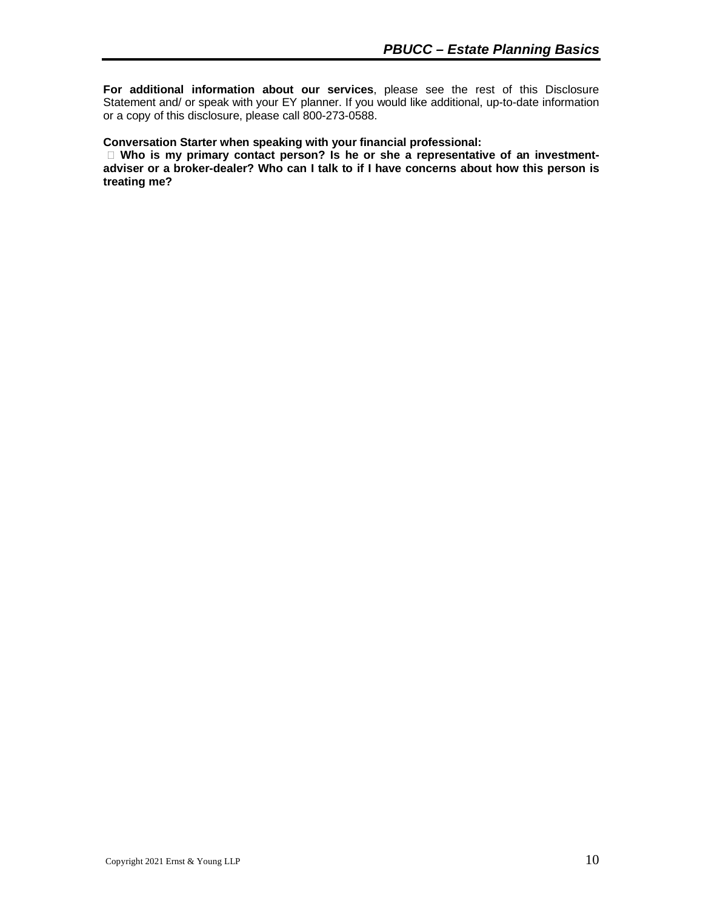**For additional information about our services**, please see the rest of this Disclosure Statement and/ or speak with your EY planner. If you would like additional, up-to-date information or a copy of this disclosure, please call 800-273-0588.

#### **Conversation Starter when speaking with your financial professional:**

□ Who is my primary contact person? Is he or she a representative of an investment**adviser or a broker-dealer? Who can I talk to if I have concerns about how this person is treating me?**